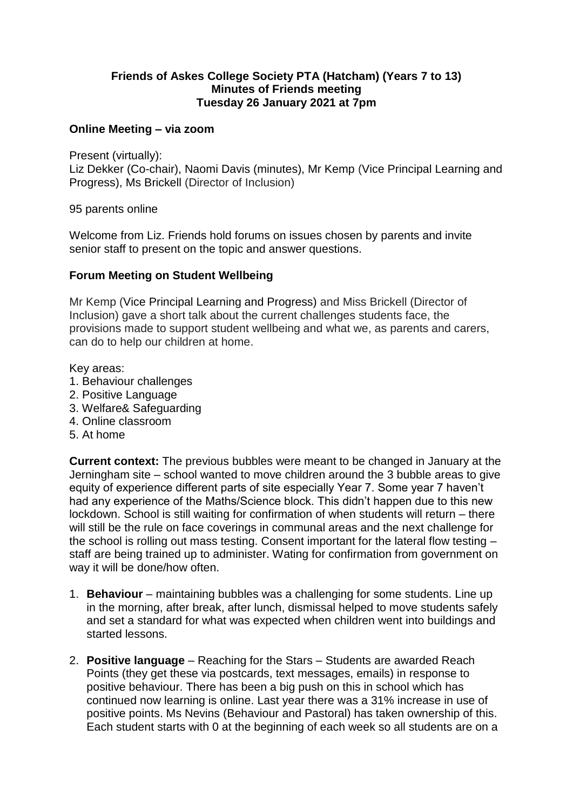# **Friends of Askes College Society PTA (Hatcham) (Years 7 to 13) Minutes of Friends meeting Tuesday 26 January 2021 at 7pm**

# **Online Meeting – via zoom**

Present (virtually):

Liz Dekker (Co-chair), Naomi Davis (minutes), Mr Kemp (Vice Principal Learning and Progress), Ms Brickell (Director of Inclusion)

95 parents online

Welcome from Liz. Friends hold forums on issues chosen by parents and invite senior staff to present on the topic and answer questions.

# **Forum Meeting on Student Wellbeing**

Mr Kemp (Vice Principal Learning and Progress) and Miss Brickell (Director of Inclusion) gave a short talk about the current challenges students face, the provisions made to support student wellbeing and what we, as parents and carers, can do to help our children at home.

Key areas:

- 1. Behaviour challenges
- 2. Positive Language
- 3. Welfare& Safeguarding
- 4. Online classroom
- 5. At home

**Current context:** The previous bubbles were meant to be changed in January at the Jerningham site – school wanted to move children around the 3 bubble areas to give equity of experience different parts of site especially Year 7. Some year 7 haven't had any experience of the Maths/Science block. This didn't happen due to this new lockdown. School is still waiting for confirmation of when students will return – there will still be the rule on face coverings in communal areas and the next challenge for the school is rolling out mass testing. Consent important for the lateral flow testing – staff are being trained up to administer. Wating for confirmation from government on way it will be done/how often.

- 1. **Behaviour** maintaining bubbles was a challenging for some students. Line up in the morning, after break, after lunch, dismissal helped to move students safely and set a standard for what was expected when children went into buildings and started lessons.
- 2. **Positive language** Reaching for the Stars Students are awarded Reach Points (they get these via postcards, text messages, emails) in response to positive behaviour. There has been a big push on this in school which has continued now learning is online. Last year there was a 31% increase in use of positive points. Ms Nevins (Behaviour and Pastoral) has taken ownership of this. Each student starts with 0 at the beginning of each week so all students are on a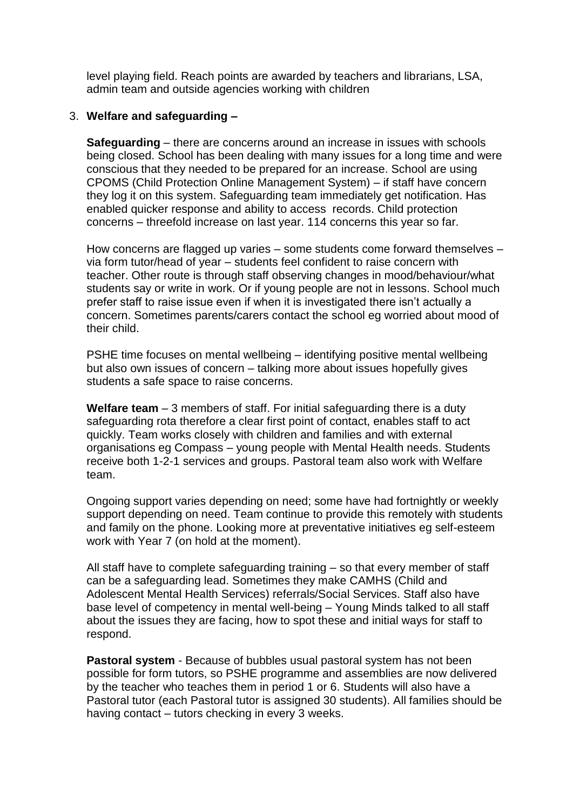level playing field. Reach points are awarded by teachers and librarians, LSA, admin team and outside agencies working with children

### 3. **Welfare and safeguarding –**

**Safeguarding** – there are concerns around an increase in issues with schools being closed. School has been dealing with many issues for a long time and were conscious that they needed to be prepared for an increase. School are using CPOMS (Child Protection Online Management System) – if staff have concern they log it on this system. Safeguarding team immediately get notification. Has enabled quicker response and ability to access records. Child protection concerns – threefold increase on last year. 114 concerns this year so far.

How concerns are flagged up varies – some students come forward themselves – via form tutor/head of year – students feel confident to raise concern with teacher. Other route is through staff observing changes in mood/behaviour/what students say or write in work. Or if young people are not in lessons. School much prefer staff to raise issue even if when it is investigated there isn't actually a concern. Sometimes parents/carers contact the school eg worried about mood of their child.

PSHE time focuses on mental wellbeing – identifying positive mental wellbeing but also own issues of concern – talking more about issues hopefully gives students a safe space to raise concerns.

**Welfare team** – 3 members of staff. For initial safeguarding there is a duty safeguarding rota therefore a clear first point of contact, enables staff to act quickly. Team works closely with children and families and with external organisations eg Compass – young people with Mental Health needs. Students receive both 1-2-1 services and groups. Pastoral team also work with Welfare team.

Ongoing support varies depending on need; some have had fortnightly or weekly support depending on need. Team continue to provide this remotely with students and family on the phone. Looking more at preventative initiatives eg self-esteem work with Year 7 (on hold at the moment).

All staff have to complete safeguarding training – so that every member of staff can be a safeguarding lead. Sometimes they make CAMHS (Child and Adolescent Mental Health Services) referrals/Social Services. Staff also have base level of competency in mental well-being – Young Minds talked to all staff about the issues they are facing, how to spot these and initial ways for staff to respond.

**Pastoral system** - Because of bubbles usual pastoral system has not been possible for form tutors, so PSHE programme and assemblies are now delivered by the teacher who teaches them in period 1 or 6. Students will also have a Pastoral tutor (each Pastoral tutor is assigned 30 students). All families should be having contact – tutors checking in every 3 weeks.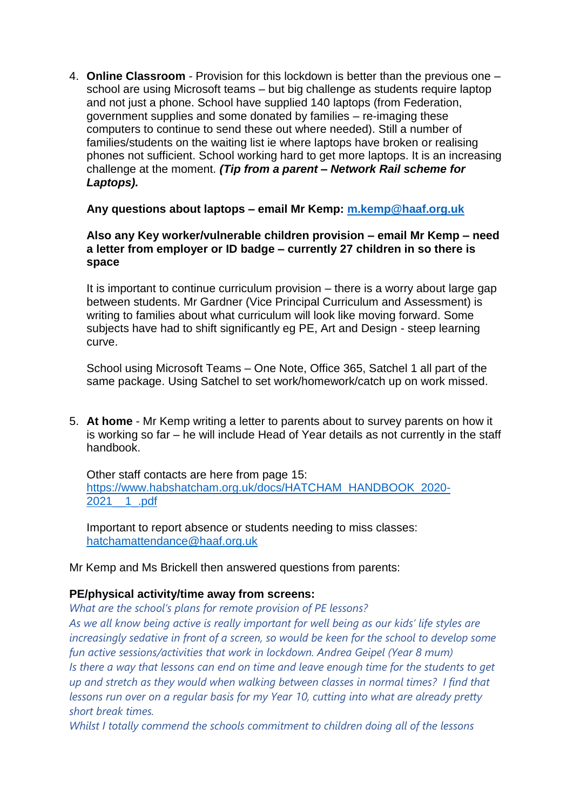4. **Online Classroom** - Provision for this lockdown is better than the previous one – school are using Microsoft teams – but big challenge as students require laptop and not just a phone. School have supplied 140 laptops (from Federation, government supplies and some donated by families – re-imaging these computers to continue to send these out where needed). Still a number of families/students on the waiting list ie where laptops have broken or realising phones not sufficient. School working hard to get more laptops. It is an increasing challenge at the moment. *(Tip from a parent – Network Rail scheme for Laptops).*

# **Any questions about laptops – email Mr Kemp: [m.kemp@haaf.org.uk](mailto:m.kemp@haaf.org.uk)**

# **Also any Key worker/vulnerable children provision – email Mr Kemp – need a letter from employer or ID badge – currently 27 children in so there is space**

It is important to continue curriculum provision – there is a worry about large gap between students. Mr Gardner (Vice Principal Curriculum and Assessment) is writing to families about what curriculum will look like moving forward. Some subjects have had to shift significantly eg PE, Art and Design - steep learning curve.

School using Microsoft Teams – One Note, Office 365, Satchel 1 all part of the same package. Using Satchel to set work/homework/catch up on work missed.

5. **At home** - Mr Kemp writing a letter to parents about to survey parents on how it is working so far – he will include Head of Year details as not currently in the staff handbook.

Other staff contacts are here from page 15: [https://www.habshatcham.org.uk/docs/HATCHAM\\_HANDBOOK\\_2020-](https://www.habshatcham.org.uk/docs/HATCHAM_HANDBOOK_2020-2021__1_.pdf) [2021\\_\\_1\\_.pdf](https://www.habshatcham.org.uk/docs/HATCHAM_HANDBOOK_2020-2021__1_.pdf)

Important to report absence or students needing to miss classes: hatchamattendance@haaf.org.uk

Mr Kemp and Ms Brickell then answered questions from parents:

# **PE/physical activity/time away from screens:**

*What are the school's plans for remote provision of PE lessons?*

*As we all know being active is really important for well being as our kids' life styles are increasingly sedative in front of a screen, so would be keen for the school to develop some fun active sessions/activities that work in lockdown. Andrea Geipel (Year 8 mum) Is there a way that lessons can end on time and leave enough time for the students to get up and stretch as they would when walking between classes in normal times? I find that lessons run over on a regular basis for my Year 10, cutting into what are already pretty short break times.*

*Whilst I totally commend the schools commitment to children doing all of the lessons*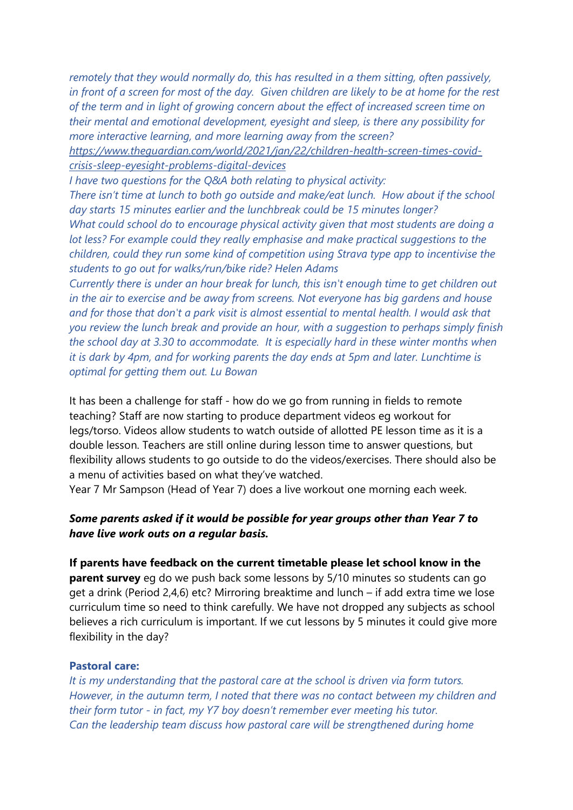*remotely that they would normally do, this has resulted in a them sitting, often passively, in front of a screen for most of the day. Given children are likely to be at home for the rest of the term and in light of growing concern about the effect of increased screen time on their mental and emotional development, eyesight and sleep, is there any possibility for more interactive learning, and more learning away from the screen?*

*[https://www.theguardian.com/world/2021/jan/22/children-health-screen-times-covid](https://emea01.safelinks.protection.outlook.com/?url=https%3A%2F%2Fwww.theguardian.com%2Fworld%2F2021%2Fjan%2F22%2Fchildren-health-screen-times-covid-crisis-sleep-eyesight-problems-digital-devices&data=04|01||f4b3e36bad654d8472d608d8c1e47ebb|84df9e7fe9f640afb435aaaaaaaaaaaa|1|0|637472534402704290|Unknown|TWFpbGZsb3d8eyJWIjoiMC4wLjAwMDAiLCJQIjoiV2luMzIiLCJBTiI6Ik1haWwiLCJXVCI6Mn0%3D|1000&sdata=2zmYeM3cRmJC0qumJrK%2B4LqoECxBKNXi%2FTRXRvkIJgs%3D&reserved=0)[crisis-sleep-eyesight-problems-digital-devices](https://emea01.safelinks.protection.outlook.com/?url=https%3A%2F%2Fwww.theguardian.com%2Fworld%2F2021%2Fjan%2F22%2Fchildren-health-screen-times-covid-crisis-sleep-eyesight-problems-digital-devices&data=04|01||f4b3e36bad654d8472d608d8c1e47ebb|84df9e7fe9f640afb435aaaaaaaaaaaa|1|0|637472534402704290|Unknown|TWFpbGZsb3d8eyJWIjoiMC4wLjAwMDAiLCJQIjoiV2luMzIiLCJBTiI6Ik1haWwiLCJXVCI6Mn0%3D|1000&sdata=2zmYeM3cRmJC0qumJrK%2B4LqoECxBKNXi%2FTRXRvkIJgs%3D&reserved=0)*

*I have two questions for the Q&A both relating to physical activity:*

*There isn't time at lunch to both go outside and make/eat lunch. How about if the school day starts 15 minutes earlier and the lunchbreak could be 15 minutes longer? What could school do to encourage physical activity given that most students are doing a lot less? For example could they really emphasise and make practical suggestions to the children, could they run some kind of competition using Strava type app to incentivise the students to go out for walks/run/bike ride? Helen Adams*

*Currently there is under an hour break for lunch, this isn't enough time to get children out in the air to exercise and be away from screens. Not everyone has big gardens and house and for those that don't a park visit is almost essential to mental health. I would ask that you review the lunch break and provide an hour, with a suggestion to perhaps simply finish the school day at 3.30 to accommodate. It is especially hard in these winter months when it is dark by 4pm, and for working parents the day ends at 5pm and later. Lunchtime is optimal for getting them out. Lu Bowan*

It has been a challenge for staff - how do we go from running in fields to remote teaching? Staff are now starting to produce department videos eg workout for legs/torso. Videos allow students to watch outside of allotted PE lesson time as it is a double lesson. Teachers are still online during lesson time to answer questions, but flexibility allows students to go outside to do the videos/exercises. There should also be a menu of activities based on what they've watched.

Year 7 Mr Sampson (Head of Year 7) does a live workout one morning each week.

# *Some parents asked if it would be possible for year groups other than Year 7 to have live work outs on a regular basis.*

**If parents have feedback on the current timetable please let school know in the parent survey** eg do we push back some lessons by 5/10 minutes so students can go get a drink (Period 2,4,6) etc? Mirroring breaktime and lunch – if add extra time we lose curriculum time so need to think carefully. We have not dropped any subjects as school believes a rich curriculum is important. If we cut lessons by 5 minutes it could give more flexibility in the day?

# **Pastoral care:**

*It is my understanding that the pastoral care at the school is driven via form tutors. However, in the autumn term, I noted that there was no contact between my children and their form tutor - in fact, my Y7 boy doesn't remember ever meeting his tutor. Can the leadership team discuss how pastoral care will be strengthened during home*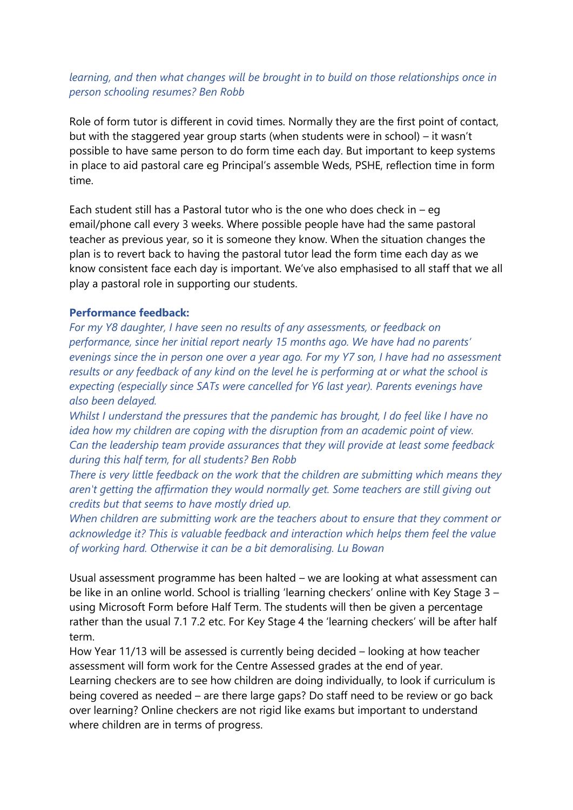# *learning, and then what changes will be brought in to build on those relationships once in person schooling resumes? Ben Robb*

Role of form tutor is different in covid times. Normally they are the first point of contact, but with the staggered year group starts (when students were in school) – it wasn't possible to have same person to do form time each day. But important to keep systems in place to aid pastoral care eg Principal's assemble Weds, PSHE, reflection time in form time.

Each student still has a Pastoral tutor who is the one who does check in  $-$  eg email/phone call every 3 weeks. Where possible people have had the same pastoral teacher as previous year, so it is someone they know. When the situation changes the plan is to revert back to having the pastoral tutor lead the form time each day as we know consistent face each day is important. We've also emphasised to all staff that we all play a pastoral role in supporting our students.

# **Performance feedback:**

*For my Y8 daughter, I have seen no results of any assessments, or feedback on performance, since her initial report nearly 15 months ago. We have had no parents' evenings since the in person one over a year ago. For my Y7 son, I have had no assessment results or any feedback of any kind on the level he is performing at or what the school is expecting (especially since SATs were cancelled for Y6 last year). Parents evenings have also been delayed.*

*Whilst I understand the pressures that the pandemic has brought, I do feel like I have no idea how my children are coping with the disruption from an academic point of view. Can the leadership team provide assurances that they will provide at least some feedback during this half term, for all students? Ben Robb*

*There is very little feedback on the work that the children are submitting which means they aren't getting the affirmation they would normally get. Some teachers are still giving out credits but that seems to have mostly dried up.* 

*When children are submitting work are the teachers about to ensure that they comment or acknowledge it? This is valuable feedback and interaction which helps them feel the value of working hard. Otherwise it can be a bit demoralising. Lu Bowan*

Usual assessment programme has been halted – we are looking at what assessment can be like in an online world. School is trialling 'learning checkers' online with Key Stage 3 – using Microsoft Form before Half Term. The students will then be given a percentage rather than the usual 7.1 7.2 etc. For Key Stage 4 the 'learning checkers' will be after half term.

How Year 11/13 will be assessed is currently being decided – looking at how teacher assessment will form work for the Centre Assessed grades at the end of year. Learning checkers are to see how children are doing individually, to look if curriculum is being covered as needed – are there large gaps? Do staff need to be review or go back over learning? Online checkers are not rigid like exams but important to understand where children are in terms of progress.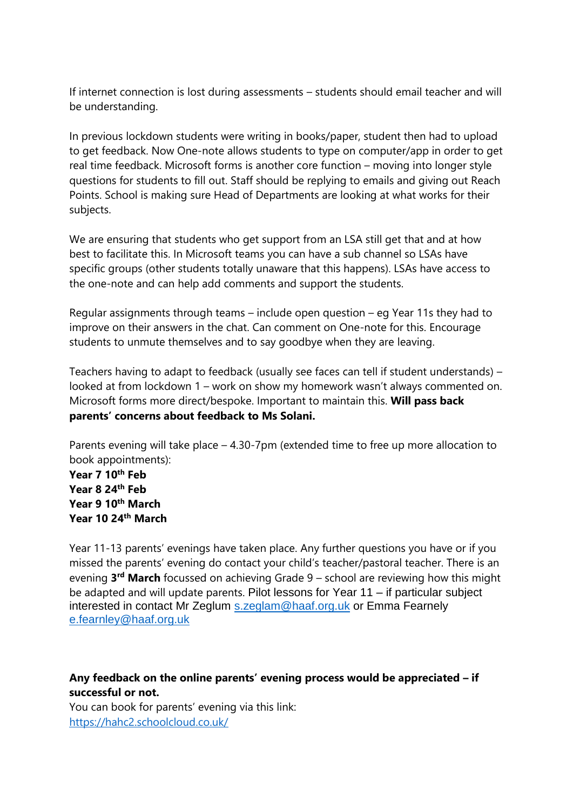If internet connection is lost during assessments – students should email teacher and will be understanding.

In previous lockdown students were writing in books/paper, student then had to upload to get feedback. Now One-note allows students to type on computer/app in order to get real time feedback. Microsoft forms is another core function – moving into longer style questions for students to fill out. Staff should be replying to emails and giving out Reach Points. School is making sure Head of Departments are looking at what works for their subjects.

We are ensuring that students who get support from an LSA still get that and at how best to facilitate this. In Microsoft teams you can have a sub channel so LSAs have specific groups (other students totally unaware that this happens). LSAs have access to the one-note and can help add comments and support the students.

Regular assignments through teams – include open question – eg Year 11s they had to improve on their answers in the chat. Can comment on One-note for this. Encourage students to unmute themselves and to say goodbye when they are leaving.

Teachers having to adapt to feedback (usually see faces can tell if student understands) – looked at from lockdown 1 – work on show my homework wasn't always commented on. Microsoft forms more direct/bespoke. Important to maintain this. **Will pass back parents' concerns about feedback to Ms Solani.** 

Parents evening will take place – 4.30-7pm (extended time to free up more allocation to book appointments):

**Year 7 10th Feb Year 8 24th Feb Year 9 10th March Year 10 24th March**

Year 11-13 parents' evenings have taken place. Any further questions you have or if you missed the parents' evening do contact your child's teacher/pastoral teacher. There is an evening **3 rd March** focussed on achieving Grade 9 – school are reviewing how this might be adapted and will update parents. Pilot lessons for Year 11 – if particular subject interested in contact Mr Zeglum [s.zeglam@haaf.org.uk](mailto:s.zeglam@haaf.org.uk) or Emma Fearnely [e.fearnley@haaf.org.uk](mailto:e.fearnley@haaf.org.uk)

**Any feedback on the online parents' evening process would be appreciated – if successful or not.** 

You can book for parents' evening via this link: <https://hahc2.schoolcloud.co.uk/>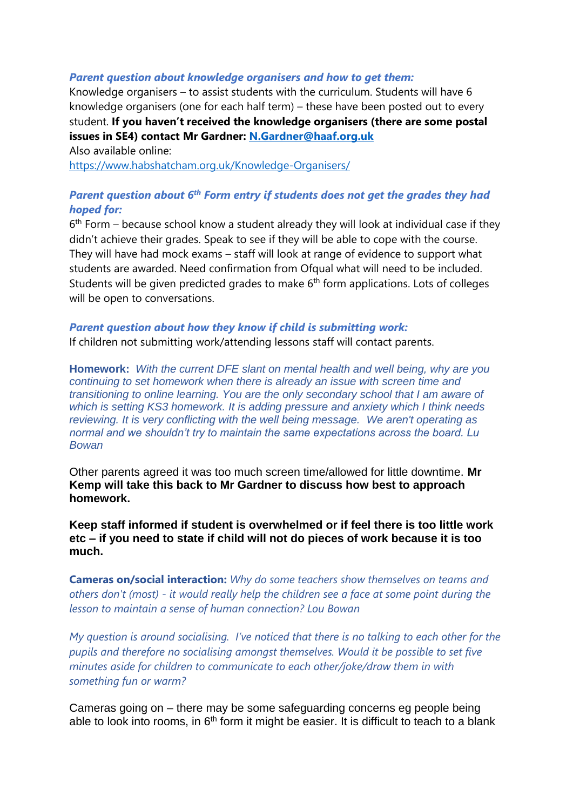### *Parent question about knowledge organisers and how to get them:*

Knowledge organisers – to assist students with the curriculum. Students will have 6 knowledge organisers (one for each half term) – these have been posted out to every student. **If you haven't received the knowledge organisers (there are some postal issues in SE4) contact Mr Gardner: [N.Gardner@haaf.org.uk](mailto:N.Gardner@haaf.org.uk)**

Also available online: <https://www.habshatcham.org.uk/Knowledge-Organisers/>

# *Parent question about 6th Form entry if students does not get the grades they had hoped for:*

6<sup>th</sup> Form – because school know a student already they will look at individual case if they didn't achieve their grades. Speak to see if they will be able to cope with the course. They will have had mock exams – staff will look at range of evidence to support what students are awarded. Need confirmation from Ofqual what will need to be included. Students will be given predicted grades to make 6<sup>th</sup> form applications. Lots of colleges will be open to conversations.

### *Parent question about how they know if child is submitting work:*

If children not submitting work/attending lessons staff will contact parents.

**Homework:** *With the current DFE slant on mental health and well being, why are you continuing to set homework when there is already an issue with screen time and transitioning to online learning. You are the only secondary school that I am aware of which is setting KS3 homework. It is adding pressure and anxiety which I think needs reviewing. It is very conflicting with the well being message. We aren't operating as normal and we shouldn't try to maintain the same expectations across the board. Lu Bowan*

Other parents agreed it was too much screen time/allowed for little downtime. **Mr Kemp will take this back to Mr Gardner to discuss how best to approach homework.**

**Keep staff informed if student is overwhelmed or if feel there is too little work etc – if you need to state if child will not do pieces of work because it is too much.**

**Cameras on/social interaction:** *Why do some teachers show themselves on teams and others don't (most) - it would really help the children see a face at some point during the lesson to maintain a sense of human connection? Lou Bowan*

*My question is around socialising. I've noticed that there is no talking to each other for the pupils and therefore no socialising amongst themselves. Would it be possible to set five minutes aside for children to communicate to each other/joke/draw them in with something fun or warm?*

Cameras going on – there may be some safeguarding concerns eg people being able to look into rooms, in  $6<sup>th</sup>$  form it might be easier. It is difficult to teach to a blank